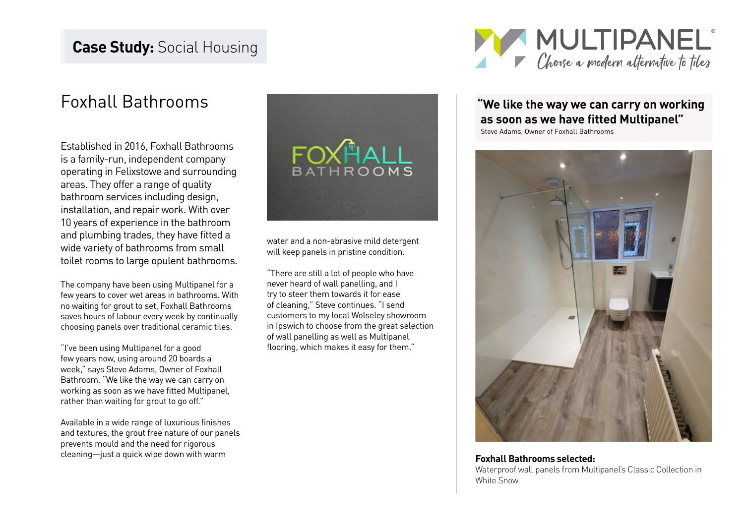# Foxhall Bathrooms

Established in 2016, Foxhall Bathrooms is a family-run, independent company operating in Felixstowe and surrounding areas. They offer a range of quality bathroom services including design, installation, and repair work. With over 10 years of experience in the bathroom and plumbing trades, they have fitted a wide variety of bathrooms from small toilet rooms to large opulent bathrooms.

The company have been using Multipanel for a few years to cover wet areas in bathrooms. With no waiting for grout to set, Foxhall Bathrooms saves hours of labour every week by continually choosing panels over traditional ceramic tiles.

"I've been using Multipanel for a good few years now, using around 20 boards a week," says Steve Adams, Owner of Foxhall Bathroom. "We like the way we can carry on working as soon as we have fitted Multipanel, rather than waiting for grout to go off."

Available in a wide range of luxurious finishes and textures, the grout free nature of our panels prevents mould and the need for rigorous cleaning—just a quick wipe down with warm **Foxhall Bathrooms selected:**



water and a non-abrasive mild detergent will keep panels in pristine condition.

"There are still a lot of people who have never heard of wall panelling, and I try to steer them towards it for ease of cleaning," Steve continues. "I send customers to my local Wolseley showroom in Ipswich to choose from the great selection of wall panelling as well as Multipanel flooring, which makes it easy for them."



## **"We like the way we can carry on working as soon as we have fitted Multipanel"**

Steve Adams, Owner of Foxhall Bathrooms



Waterproof wall panels from Multipanel's Classic Collection in White Snow.